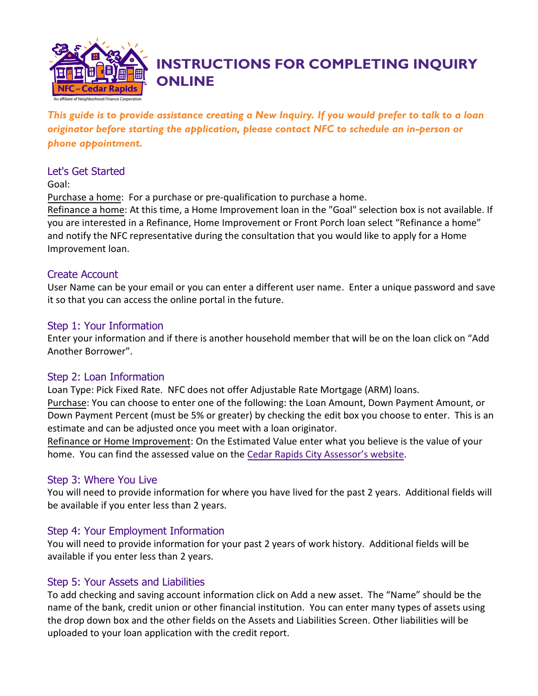

# **INSTRUCTIONS FOR COMPLETING INQUIRY ONLINE**

*This guide is to provide assistance creating a New Inquiry. If you would prefer to talk to a loan originator before starting the application, please contact NFC to schedule an in-person or phone appointment.*

## Let's Get Started

Goal:

Purchase a home: For a purchase or pre-qualification to purchase a home.

Refinance a home: At this time, a Home Improvement loan in the "Goal" selection box is not available. If you are interested in a Refinance, Home Improvement or Front Porch loan select "Refinance a home" and notify the NFC representative during the consultation that you would like to apply for a Home Improvement loan.

## Create Account

User Name can be your email or you can enter a different user name. Enter a unique password and save it so that you can access the online portal in the future.

## Step 1: Your Information

Enter your information and if there is another household member that will be on the loan click on "Add Another Borrower".

## Step 2: Loan Information

Loan Type: Pick Fixed Rate. NFC does not offer Adjustable Rate Mortgage (ARM) loans. Purchase: You can choose to enter one of the following: the Loan Amount, Down Payment Amount, or Down Payment Percent (must be 5% or greater) by checking the edit box you choose to enter. This is an estimate and can be adjusted once you meet with a loan originator.

Refinance or Home Improvement: On the Estimated Value enter what you believe is the value of your home. You can find the assessed value on the Cedar Rapids City [Assessor's website](https://cedarrapids.iowaassessors.com/search.php).

# Step 3: Where You Live

You will need to provide information for where you have lived for the past 2 years. Additional fields will be available if you enter less than 2 years.

# Step 4: Your Employment Information

You will need to provide information for your past 2 years of work history. Additional fields will be available if you enter less than 2 years.

## Step 5: Your Assets and Liabilities

To add checking and saving account information click on Add a new asset. The "Name" should be the name of the bank, credit union or other financial institution. You can enter many types of assets using the drop down box and the other fields on the Assets and Liabilities Screen. Other liabilities will be uploaded to your loan application with the credit report.